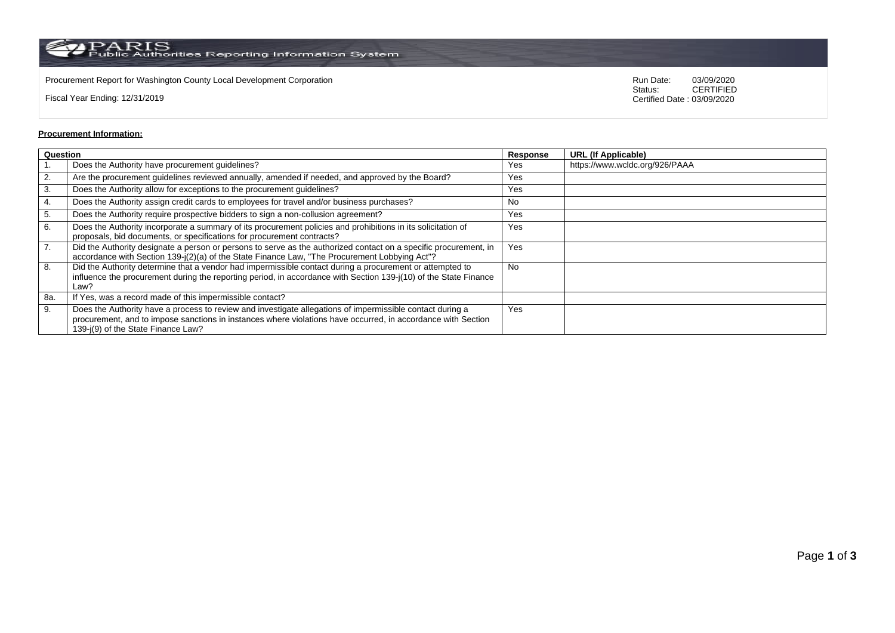PARIS<br>Public Authorities Reporting Information System

Procurement Report for Washington County Local Development Corporation **Run Date:** 03/09/2020<br>Status: CERTIFIED

Fiscal Year Ending: 12/31/2019

CERTIFIED Certified Date : 03/09/2020

## **Procurement Information:**

| Question |                                                                                                                                                                                                                                                                 | Response  | <b>URL (If Applicable)</b>     |
|----------|-----------------------------------------------------------------------------------------------------------------------------------------------------------------------------------------------------------------------------------------------------------------|-----------|--------------------------------|
|          | Does the Authority have procurement guidelines?                                                                                                                                                                                                                 | Yes       | https://www.wcldc.org/926/PAAA |
| 2.       | Are the procurement guidelines reviewed annually, amended if needed, and approved by the Board?                                                                                                                                                                 | Yes       |                                |
| 3.       | Does the Authority allow for exceptions to the procurement guidelines?                                                                                                                                                                                          | Yes       |                                |
| 4.       | Does the Authority assign credit cards to employees for travel and/or business purchases?                                                                                                                                                                       | No        |                                |
| 5.       | Does the Authority require prospective bidders to sign a non-collusion agreement?                                                                                                                                                                               | Yes       |                                |
| 6.       | Does the Authority incorporate a summary of its procurement policies and prohibitions in its solicitation of<br>proposals, bid documents, or specifications for procurement contracts?                                                                          | Yes       |                                |
| 7.       | Did the Authority designate a person or persons to serve as the authorized contact on a specific procurement, in<br>accordance with Section 139-j(2)(a) of the State Finance Law, "The Procurement Lobbying Act"?                                               | Yes       |                                |
| 8.       | Did the Authority determine that a vendor had impermissible contact during a procurement or attempted to<br>influence the procurement during the reporting period, in accordance with Section 139-j(10) of the State Finance<br>Law?                            | <b>No</b> |                                |
| 8a.      | If Yes, was a record made of this impermissible contact?                                                                                                                                                                                                        |           |                                |
| 9.       | Does the Authority have a process to review and investigate allegations of impermissible contact during a<br>procurement, and to impose sanctions in instances where violations have occurred, in accordance with Section<br>139-j(9) of the State Finance Law? | Yes       |                                |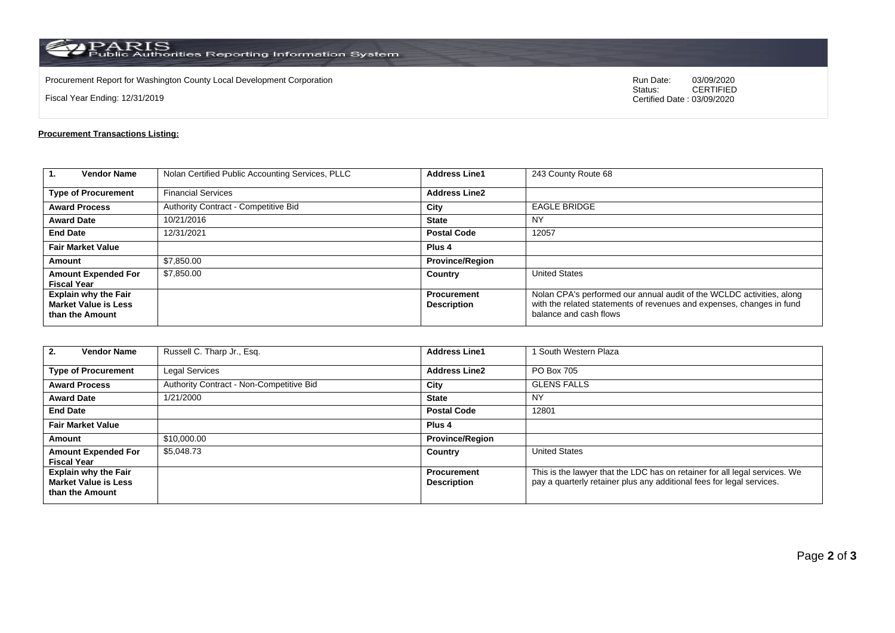$\rm PARS$  Public Authorities Reporting Information System

Procurement Report for Washington County Local Development Corporation **Run Date:** 03/09/2020<br>Status: CERTIFIED

Fiscal Year Ending: 12/31/2019

CERTIFIED Certified Date : 03/09/2020

## **Procurement Transactions Listing:**

| $\mathbf{1}$<br><b>Vendor Name</b>                                            | Nolan Certified Public Accounting Services, PLLC | <b>Address Line1</b>                     | 243 County Route 68                                                                                                                                                      |
|-------------------------------------------------------------------------------|--------------------------------------------------|------------------------------------------|--------------------------------------------------------------------------------------------------------------------------------------------------------------------------|
| <b>Type of Procurement</b>                                                    | <b>Financial Services</b>                        | <b>Address Line2</b>                     |                                                                                                                                                                          |
| <b>Award Process</b>                                                          | Authority Contract - Competitive Bid             | City                                     | <b>EAGLE BRIDGE</b>                                                                                                                                                      |
| <b>Award Date</b>                                                             | 10/21/2016                                       | <b>State</b>                             | ΝY                                                                                                                                                                       |
| <b>End Date</b>                                                               | 12/31/2021                                       | <b>Postal Code</b>                       | 12057                                                                                                                                                                    |
| <b>Fair Market Value</b>                                                      |                                                  | Plus <sub>4</sub>                        |                                                                                                                                                                          |
| Amount                                                                        | \$7,850.00                                       | <b>Province/Region</b>                   |                                                                                                                                                                          |
| <b>Amount Expended For</b><br><b>Fiscal Year</b>                              | \$7,850.00                                       | Country                                  | <b>United States</b>                                                                                                                                                     |
| <b>Explain why the Fair</b><br><b>Market Value is Less</b><br>than the Amount |                                                  | <b>Procurement</b><br><b>Description</b> | Nolan CPA's performed our annual audit of the WCLDC activities, along<br>with the related statements of revenues and expenses, changes in fund<br>balance and cash flows |

| <b>Vendor Name</b><br>2.                                                      | Russell C. Tharp Jr., Esq.               | <b>Address Line1</b>                     | South Western Plaza                                                                                                                                 |  |
|-------------------------------------------------------------------------------|------------------------------------------|------------------------------------------|-----------------------------------------------------------------------------------------------------------------------------------------------------|--|
| <b>Type of Procurement</b>                                                    | <b>Legal Services</b>                    | <b>Address Line2</b>                     | PO Box 705                                                                                                                                          |  |
| <b>Award Process</b>                                                          | Authority Contract - Non-Competitive Bid | City                                     | <b>GLENS FALLS</b>                                                                                                                                  |  |
| <b>Award Date</b>                                                             | 1/21/2000                                | <b>State</b>                             | <b>NY</b>                                                                                                                                           |  |
| <b>End Date</b>                                                               |                                          | <b>Postal Code</b>                       | 12801                                                                                                                                               |  |
| <b>Fair Market Value</b>                                                      |                                          | Plus <sub>4</sub>                        |                                                                                                                                                     |  |
| Amount                                                                        | \$10,000.00                              | <b>Province/Region</b>                   |                                                                                                                                                     |  |
| <b>Amount Expended For</b><br><b>Fiscal Year</b>                              | \$5,048.73                               | Country                                  | <b>United States</b>                                                                                                                                |  |
| <b>Explain why the Fair</b><br><b>Market Value is Less</b><br>than the Amount |                                          | <b>Procurement</b><br><b>Description</b> | This is the lawyer that the LDC has on retainer for all legal services. We<br>pay a quarterly retainer plus any additional fees for legal services. |  |